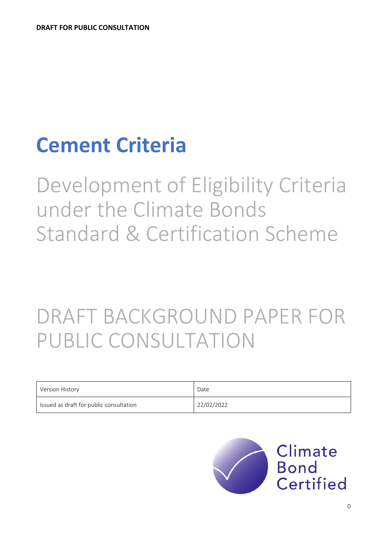# **Cement Criteria**

Development of Eligibility Criteria under the Climate Bonds Standard & Certification Scheme

# DRAFT BACKGROUND PAPER FOR PUBLIC CONSULTATION

| Version History                         | Date       |
|-----------------------------------------|------------|
| Issued as draft for public consultation | 22/02/2022 |

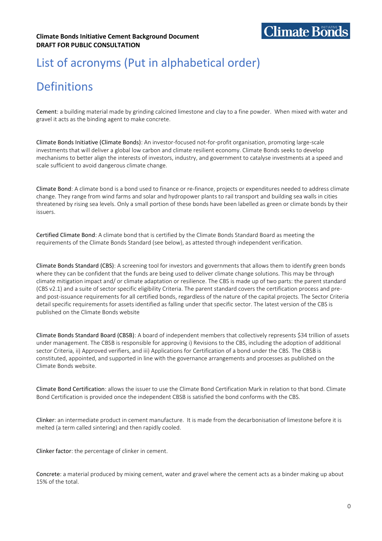# List of acronyms (Put in alphabetical order)

# **Definitions**

Cement: a building material made by grinding calcined limestone and clay to a fine powder. When mixed with water and gravel it acts as the binding agent to make concrete.

Climate Bonds Initiative (Climate Bonds): An investor-focused not-for-profit organisation, promoting large-scale investments that will deliver a global low carbon and climate resilient economy. Climate Bonds seeks to develop mechanisms to better align the interests of investors, industry, and government to catalyse investments at a speed and scale sufficient to avoid dangerous climate change.

Climate Bond: A climate bond is a bond used to finance or re-finance, projects or expenditures needed to address climate change. They range from wind farms and solar and hydropower plants to rail transport and building sea walls in cities threatened by rising sea levels. Only a small portion of these bonds have been labelled as green or climate bonds by their issuers.

Certified Climate Bond: A climate bond that is certified by the Climate Bonds Standard Board as meeting the requirements of the Climate Bonds Standard (see below), as attested through independent verification.

Climate Bonds Standard (CBS): A screening tool for investors and governments that allows them to identify green bonds where they can be confident that the funds are being used to deliver climate change solutions. This may be through climate mitigation impact and/ or climate adaptation or resilience. The CBS is made up of two parts: the parent standard (CBS v2.1) and a suite of sector specific eligibility Criteria. The parent standard covers the certification process and preand post-issuance requirements for all certified bonds, regardless of the nature of the capital projects. The Sector Criteria detail specific requirements for assets identified as falling under that specific sector. The latest version of the CBS is published on the Climate Bonds website

Climate Bonds Standard Board (CBSB): A board of independent members that collectively represents \$34 trillion of assets under management. The CBSB is responsible for approving i) Revisions to the CBS, including the adoption of additional sector Criteria, ii) Approved verifiers, and iii) Applications for Certification of a bond under the CBS. The CBSB is constituted, appointed, and supported in line with the governance arrangements and processes as published on the Climate Bonds website.

Climate Bond Certification: allows the issuer to use the Climate Bond Certification Mark in relation to that bond. Climate Bond Certification is provided once the independent CBSB is satisfied the bond conforms with the CBS.

Clinker: an intermediate product in cement manufacture. It is made from the decarbonisation of limestone before it is melted (a term called sintering) and then rapidly cooled.

Clinker factor: the percentage of clinker in cement.

Concrete: a material produced by mixing cement, water and gravel where the cement acts as a binder making up about 15% of the total.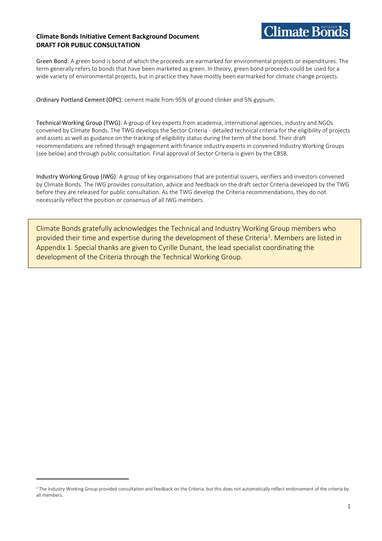#### **Climate Bonds Initiative Cement Background Document DRAFT FOR PUBLIC CONSULTATION**



Green Bond: A green bond is bond of which the proceeds are earmarked for environmental projects or expenditures. The term generally refers to bonds that have been marketed as green. In theory, green bond proceeds could be used for a wide variety of environmental projects, but in practice they have mostly been earmarked for climate change projects.

Ordinary Portland Cement (OPC): cement made from 95% of ground clinker and 5% gypsum.

Technical Working Group (TWG): A group of key experts from academia, international agencies, industry and NGOs convened by Climate Bonds. The TWG develops the Sector Criteria - detailed technical criteria for the eligibility of projects and assets as well as guidance on the tracking of eligibility status during the term of the bond. Their draft recommendations are refined through engagement with finance industry experts in convened Industry Working Groups (see below) and through public consultation. Final approval of Sector Criteria is given by the CBSB.

Industry Working Group (IWG): A group of key organisations that are potential issuers, verifiers and investors convened by Climate Bonds. The IWG provides consultation, advice and feedback on the draft sector Criteria developed by the TWG before they are released for public consultation. As the TWG develop the Criteria recommendations, they do not necessarily reflect the position or consensus of all IWG members.

Climate Bonds gratefully acknowledges the Technical and Industry Working Group members who provided their time and expertise during the development of these Criteria<sup>1</sup>. Members are listed in Appendix 1. Special thanks are given to Cyrille Dunant, the lead specialist coordinating the development of the Criteria through the Technical Working Group.

<sup>&</sup>lt;sup>1</sup> The Industry Working Group provided consultation and feedback on the Criteria, but this does not automatically reflect endorsement of the criteria by all members.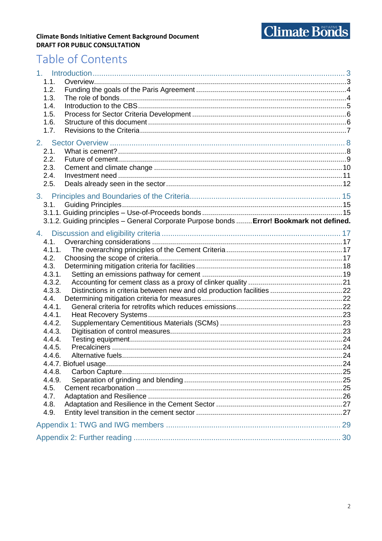

#### **Climate Bonds Initiative Cement Background Document DRAFT FOR PUBLIC CONSULTATION**

## Table of Contents

| 1 <sub>1</sub>   |                                                                                           |  |
|------------------|-------------------------------------------------------------------------------------------|--|
| 1.1.<br>1.2.     |                                                                                           |  |
| 1.3.             |                                                                                           |  |
| 1.4.             |                                                                                           |  |
| 1.5.             |                                                                                           |  |
| 1.6.             |                                                                                           |  |
| 1.7.             |                                                                                           |  |
|                  |                                                                                           |  |
| 2.1.             |                                                                                           |  |
| 2.2.             |                                                                                           |  |
| 2.3.<br>2.4.     |                                                                                           |  |
| 2.5.             |                                                                                           |  |
|                  |                                                                                           |  |
|                  |                                                                                           |  |
| 3.1.             |                                                                                           |  |
|                  | 3.1.2. Guiding principles - General Corporate Purpose bonds  Error! Bookmark not defined. |  |
|                  |                                                                                           |  |
|                  |                                                                                           |  |
| 4.1.<br>4.1.1.   |                                                                                           |  |
| 4.2.             |                                                                                           |  |
| 4.3.             |                                                                                           |  |
| 4.3.1.           |                                                                                           |  |
| 4.3.2.           |                                                                                           |  |
| 4.3.3.           |                                                                                           |  |
| 4.4.             |                                                                                           |  |
| 4.4.1.           |                                                                                           |  |
| 4.4.1.           |                                                                                           |  |
| 4.4.2.<br>4.4.3. |                                                                                           |  |
| 4.4.4.           |                                                                                           |  |
| 4.4.5.           |                                                                                           |  |
| 446.             | . 24<br>Alternative fuels.                                                                |  |
|                  |                                                                                           |  |
| 4.4.8.           |                                                                                           |  |
| 4.4.9.           |                                                                                           |  |
| 4.5.             |                                                                                           |  |
| 4.7.             |                                                                                           |  |
| 4.8.<br>4.9.     |                                                                                           |  |
|                  |                                                                                           |  |
|                  |                                                                                           |  |
|                  |                                                                                           |  |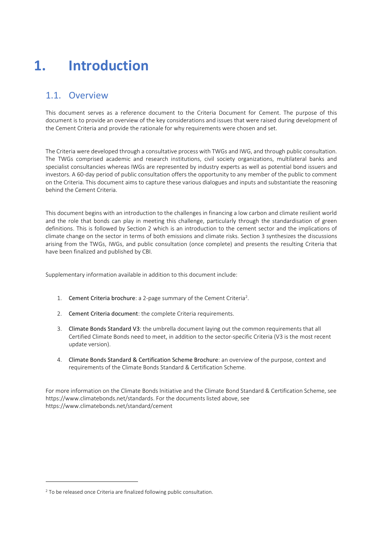# <span id="page-4-0"></span>**1. Introduction**

### <span id="page-4-1"></span>1.1. Overview

This document serves as a reference document to the Criteria Document for Cement. The purpose of this document is to provide an overview of the key considerations and issues that were raised during development of the Cement Criteria and provide the rationale for why requirements were chosen and set.

The Criteria were developed through a consultative process with TWGs and IWG, and through public consultation. The TWGs comprised academic and research institutions, civil society organizations, multilateral banks and specialist consultancies whereas IWGs are represented by industry experts as well as potential bond issuers and investors. A 60-day period of public consultation offers the opportunity to any member of the public to comment on the Criteria. This document aims to capture these various dialogues and inputs and substantiate the reasoning behind the Cement Criteria.

This document begins with an introduction to the challenges in financing a low carbon and climate resilient world and the role that bonds can play in meeting this challenge, particularly through the standardisation of green definitions. This is followed by Section 2 which is an introduction to the cement sector and the implications of climate change on the sector in terms of both emissions and climate risks. Section 3 synthesizes the discussions arising from the TWGs, IWGs, and public consultation (once complete) and presents the resulting Criteria that have been finalized and published by CBI.

Supplementary information available in addition to this document include:

- 1. Cement [Criteria brochure](https://www.climatebonds.net/standard/bioenergy): a 2-page summary of the Cement Criteria<sup>2</sup>.
- 2. Cement [Criteria document](https://www.climatebonds.net/files/files/PUBLIC%20CONSULTATION_Cement%20Criteria%20Document_22_Feb_22.pdf): the complete Criteria requirements.
- 3. [Climate Bonds Standard V3](https://www.climatebonds.net/certification-resources): the umbrella document laying out the common requirements that all Certified Climate Bonds need to meet, in addition to the sector-specific Criteria (V3 is the most recent update version).
- 4. [Climate Bonds Standard & Certification Scheme Brochure](https://www.climatebonds.net/standards/brochure): an overview of the purpose, context and requirements of the Climate Bonds Standard & Certification Scheme.

For more information on the Climate Bonds Initiative and the Climate Bond Standard & Certification Scheme, see [https://www.climatebonds.net/standards.](https://www.climatebonds.net/standards) For the documents listed above, see https://www.climatebonds.net/standard/cement

<sup>&</sup>lt;sup>2</sup> To be released once Criteria are finalized following public consultation.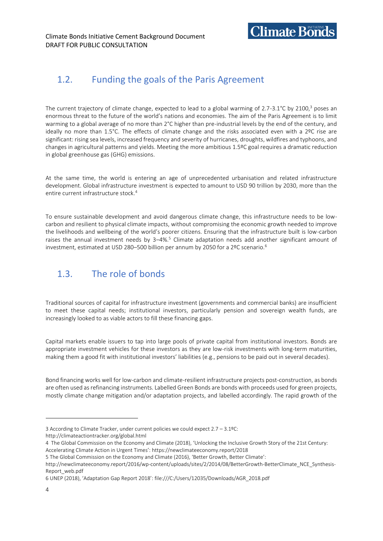

### <span id="page-5-0"></span>1.2. Funding the goals of the Paris Agreement

The current trajectory of climate change, expected to lead to a global warming of 2.7-3.1°C by 2100,<sup>3</sup> poses an enormous threat to the future of the world's nations and economies. The aim of the Paris Agreement is to limit warming to a global average of no more than 2°C higher than pre-industrial levels by the end of the century, and ideally no more than 1.5°C. The effects of climate change and the risks associated even with a 2ºC rise are significant: rising sea levels, increased frequency and severity of hurricanes, droughts, wildfires and typhoons, and changes in agricultural patterns and yields. Meeting the more ambitious 1.5ºC goal requires a dramatic reduction in global greenhouse gas (GHG) emissions.

At the same time, the world is entering an age of unprecedented urbanisation and related infrastructure development. Global infrastructure investment is expected to amount to USD 90 trillion by 2030, more than the entire current infrastructure stock.<sup>4</sup>

To ensure sustainable development and avoid dangerous climate change, this infrastructure needs to be lowcarbon and resilient to physical climate impacts, without compromising the economic growth needed to improve the livelihoods and wellbeing of the world's poorer citizens. Ensuring that the infrastructure built is low-carbon raises the annual investment needs by  $3-4\%$ .<sup>5</sup> Climate adaptation needs add another significant amount of investment, estimated at USD 280-500 billion per annum by 2050 for a 2ºC scenario.<sup>6</sup>

### <span id="page-5-1"></span>1.3. The role of bonds

Traditional sources of capital for infrastructure investment (governments and commercial banks) are insufficient to meet these capital needs; institutional investors, particularly pension and sovereign wealth funds, are increasingly looked to as viable actors to fill these financing gaps.

Capital markets enable issuers to tap into large pools of private capital from institutional investors. Bonds are appropriate investment vehicles for these investors as they are low-risk investments with long-term maturities, making them a good fit with institutional investors' liabilities (e.g., pensions to be paid out in several decades).

Bond financing works well for low-carbon and climate-resilient infrastructure projects post-construction, as bonds are often used as refinancing instruments. Labelled Green Bonds are bonds with proceeds used for green projects, mostly climate change mitigation and/or adaptation projects, and labelled accordingly. The rapid growth of the

<sup>3</sup> According to Climate Tracker, under current policies we could expect 2.7 – 3.1ºC: <http://climateactiontracker.org/global.html>

<sup>4</sup> The Global Commission on the Economy and Climate (2018), 'Unlocking the Inclusive Growth Story of the 21st Century: Accelerating Climate Action in Urgent Times': <https://newclimateeconomy.report/2018>

<sup>5</sup> The Global Commission on the Economy and Climate (2016), 'Better Growth, Better Climate':

http://newclimateeconomy.report/2016/wp-content/uploads/sites/2/2014/08/BetterGrowth-BetterClimate\_NCE\_Synthesis-Report\_web.pdf

<sup>6</sup> UNEP (2018), 'Adaptation Gap Report 2018': [file:///C:/Users/12035/Downloads/AGR\\_2018.pdf](file:///C:/C:/Users/12035/Downloads/AGR_2018.pdf)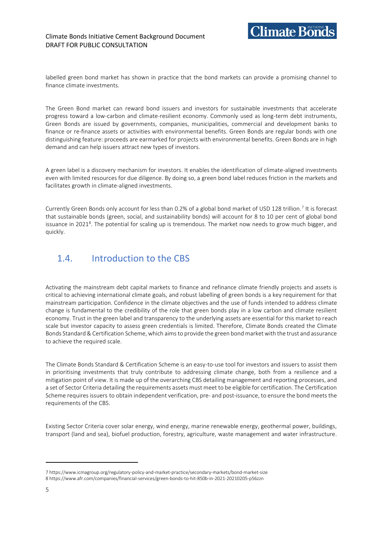labelled green bond market has shown in practice that the bond markets can provide a promising channel to finance climate investments.

The Green Bond market can reward bond issuers and investors for sustainable investments that accelerate progress toward a low-carbon and climate-resilient economy. Commonly used as long-term debt instruments, Green Bonds are issued by governments, companies, municipalities, commercial and development banks to finance or re-finance assets or activities with environmental benefits. Green Bonds are regular bonds with one distinguishing feature: proceeds are earmarked for projects with environmental benefits. Green Bonds are in high demand and can help issuers attract new types of investors.

A green label is a discovery mechanism for investors. It enables the identification of climate-aligned investments even with limited resources for due diligence. By doing so, a green bond label reduces friction in the markets and facilitates growth in climate-aligned investments.

Currently Green Bonds only account for less than 0.2% of a global bond market of USD 128 trillion.<sup>7</sup> It is forecast that sustainable bonds (green, social, and sustainability bonds) will account for 8 to 10 per cent of global bond issuance in 2021<sup>8</sup>. The potential for scaling up is tremendous. The market now needs to grow much bigger, and quickly.

### <span id="page-6-0"></span>1.4. Introduction to the CBS

Activating the mainstream debt capital markets to finance and refinance climate friendly projects and assets is critical to achieving international climate goals, and robust labelling of green bonds is a key requirement for that mainstream participation. Confidence in the climate objectives and the use of funds intended to address climate change is fundamental to the credibility of the role that green bonds play in a low carbon and climate resilient economy. Trust in the green label and transparency to the underlying assets are essential for this market to reach scale but investor capacity to assess green credentials is limited. Therefore, Climate Bonds created the Climate Bonds Standard & Certification Scheme, which aims to provide the green bond market with the trust and assurance to achieve the required scale.

The Climate Bonds Standard & Certification Scheme is an easy-to-use tool for investors and issuers to assist them in prioritising investments that truly contribute to addressing climate change, both from a resilience and a mitigation point of view. It is made up of the overarching CBS detailing management and reporting processes, and a set of Sector Criteria detailing the requirements assets must meet to be eligible for certification. The Certification Scheme requires issuers to obtain independent verification, pre- and post-issuance, to ensure the bond meets the requirements of the CBS.

Existing Sector Criteria cover solar energy, wind energy, marine renewable energy, geothermal power, buildings, transport (land and sea), biofuel production, forestry, agriculture, waste management and water infrastructure.

<sup>7</sup> https://www.icmagroup.org/regulatory-policy-and-market-practice/secondary-markets/bond-market-size 8 https://www.afr.com/companies/financial-services/green-bonds-to-hit-850b-in-2021-20210205-p56zzn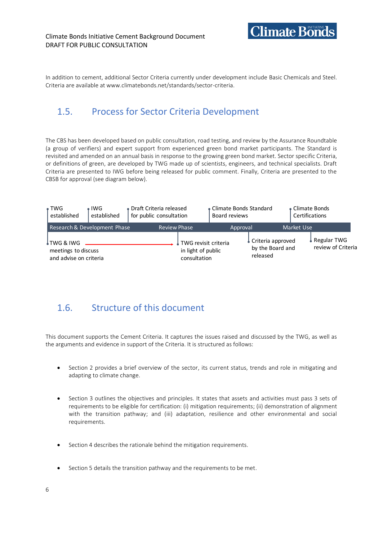

In addition to cement, additional Sector Criteria currently under development include Basic Chemicals and Steel. Criteria are available at www.climatebonds.net/standards/sector-criteria.

### <span id="page-7-0"></span>1.5. Process for Sector Criteria Development

The CBS has been developed based on public consultation, road testing, and review by the Assurance Roundtable (a group of verifiers) and expert support from experienced green bond market participants. The Standard is revisited and amended on an annual basis in response to the growing green bond market. Sector specific Criteria, or definitions of green, are developed by TWG made up of scientists, engineers, and technical specialists. Draft Criteria are presented to IWG before being released for public comment. Finally, Criteria are presented to the CBSB for approval (see diagram below).

| $\bullet$ TWG<br>established                                | $\bullet$ IWG<br>established | • Draft Criteria released<br>for public consultation |                                                            | • Climate Bonds Standard<br>Board reviews |                                                   | • Climate Bonds<br>Certifications |                                   |
|-------------------------------------------------------------|------------------------------|------------------------------------------------------|------------------------------------------------------------|-------------------------------------------|---------------------------------------------------|-----------------------------------|-----------------------------------|
|                                                             | Research & Development Phase | <b>Review Phase</b>                                  |                                                            | Approval                                  |                                                   | Market Use                        |                                   |
| ↓TWG & IWG<br>meetings to discuss<br>and advise on criteria |                              |                                                      | TWG revisit criteria<br>in light of public<br>consultation |                                           | Criteria approved<br>by the Board and<br>released |                                   | Regular TWG<br>review of Criteria |

### <span id="page-7-1"></span>1.6. Structure of this document

This document supports the Cement Criteria. It captures the issues raised and discussed by the TWG, as well as the arguments and evidence in support of the Criteria. It is structured as follows:

- Section 2 provides a brief overview of the sector, its current status, trends and role in mitigating and adapting to climate change.
- Section 3 outlines the objectives and principles. It states that assets and activities must pass 3 sets of requirements to be eligible for certification: (i) mitigation requirements; (ii) demonstration of alignment with the transition pathway; and (iii) adaptation, resilience and other environmental and social requirements.
- Section 4 describes the rationale behind the mitigation requirements.
- Section 5 details the transition pathway and the requirements to be met.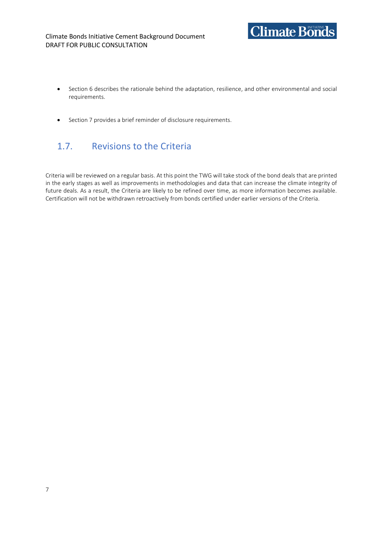

- Section 6 describes the rationale behind the adaptation, resilience, and other environmental and social requirements.
- Section 7 provides a brief reminder of disclosure requirements.

### <span id="page-8-0"></span>1.7. Revisions to the Criteria

Criteria will be reviewed on a regular basis. At this point the TWG will take stock of the bond deals that are printed in the early stages as well as improvements in methodologies and data that can increase the climate integrity of future deals. As a result, the Criteria are likely to be refined over time, as more information becomes available. Certification will not be withdrawn retroactively from bonds certified under earlier versions of the Criteria.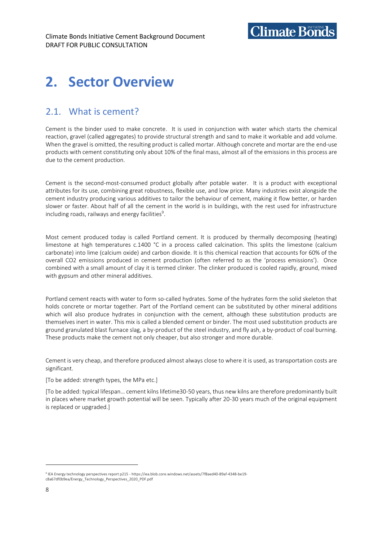# <span id="page-9-0"></span>**2. Sector Overview**

### <span id="page-9-1"></span>2.1. What is cement?

Cement is the binder used to make concrete. It is used in conjunction with water which starts the chemical reaction, gravel (called aggregates) to provide structural strength and sand to make it workable and add volume. When the gravel is omitted, the resulting product is called mortar. Although concrete and mortar are the end-use products with cement constituting only about 10% of the final mass, almost all of the emissions in this process are due to the cement production.

Cement is the second-most-consumed product globally after potable water. It is a product with exceptional attributes for its use, combining great robustness, flexible use, and low price. Many industries exist alongside the cement industry producing various additives to tailor the behaviour of cement, making it flow better, or harden slower or faster. About half of all the cement in the world is in buildings, with the rest used for infrastructure including roads, railways and energy facilities $9$ .

Most cement produced today is called Portland cement. It is produced by thermally decomposing (heating) limestone at high temperatures c.1400 °C in a process called calcination. This splits the limestone (calcium carbonate) into lime (calcium oxide) and carbon dioxide. It is this chemical reaction that accounts for 60% of the overall CO2 emissions produced in cement production (often referred to as the 'process emissions'). Once combined with a small amount of clay it is termed clinker. The clinker produced is cooled rapidly, ground, mixed with gypsum and other mineral additives.

Portland cement reacts with water to form so-called hydrates. Some of the hydrates form the solid skeleton that holds concrete or mortar together. Part of the Portland cement can be substituted by other mineral additions which will also produce hydrates in conjunction with the cement, although these substitution products are themselves inert in water. This mix is called a blended cement or binder. The most used substitution products are ground granulated blast furnace slag, a by-product of the steel industry, and fly ash, a by-product of coal burning. These products make the cement not only cheaper, but also stronger and more durable.

Cement is very cheap, and therefore produced almost always close to where it is used, as transportation costs are significant.

#### [To be added: strength types, the MPa etc.]

[To be added: typical lifespan… cement kilns lifetime30-50 years, thus new kilns are therefore predominantly built in places where market growth potential will be seen. Typically after 20-30 years much of the original equipment is replaced or upgraded.]

<sup>9</sup> IEA Energy technology perspectives report p215 - https://iea.blob.core.windows.net/assets/7f8aed40-89af-4348-be19 c8a67df0b9ea/Energy\_Technology\_Perspectives\_2020\_PDF.pdf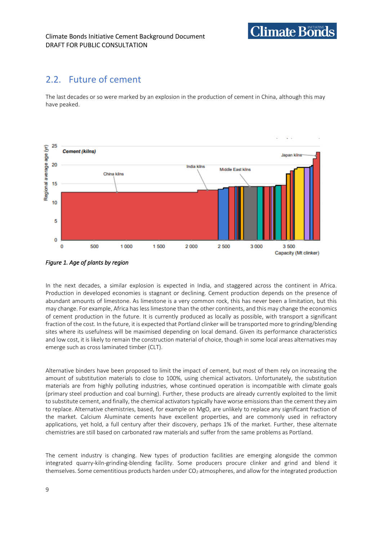### <span id="page-10-0"></span>2.2. Future of cement

The last decades or so were marked by an explosion in the production of cement in China, although this may have peaked.

**Climate Bonds** 



*Figure 1. Age of plants by region* 

In the next decades, a similar explosion is expected in India, and staggered across the continent in Africa. Production in developed economies is stagnant or declining. Cement production depends on the presence of abundant amounts of limestone. As limestone is a very common rock, this has never been a limitation, but this may change. For example, Africa has less limestone than the other continents, and this may change the economics of cement production in the future. It is currently produced as locally as possible, with transport a significant fraction of the cost. In the future, it is expected that Portland clinker will be transported more to grinding/blending sites where its usefulness will be maximised depending on local demand. Given its performance characteristics and low cost, it is likely to remain the construction material of choice, though in some local areas alternatives may emerge such as cross laminated timber (CLT).

Alternative binders have been proposed to limit the impact of cement, but most of them rely on increasing the amount of substitution materials to close to 100%, using chemical activators. Unfortunately, the substitution materials are from highly polluting industries, whose continued operation is incompatible with climate goals (primary steel production and coal burning). Further, these products are already currently exploited to the limit to substitute cement, and finally, the chemical activators typically have worse emissions than the cement they aim to replace. Alternative chemistries, based, for example on MgO, are unlikely to replace any significant fraction of the market. Calcium Aluminate cements have excellent properties, and are commonly used in refractory applications, yet hold, a full century after their discovery, perhaps 1% of the market. Further, these alternate chemistries are still based on carbonated raw materials and suffer from the same problems as Portland.

The cement industry is changing. New types of production facilities are emerging alongside the common integrated quarry-kiln-grinding-blending facility. Some producers procure clinker and grind and blend it themselves. Some cementitious products harden under CO<sub>2</sub> atmospheres, and allow for the integrated production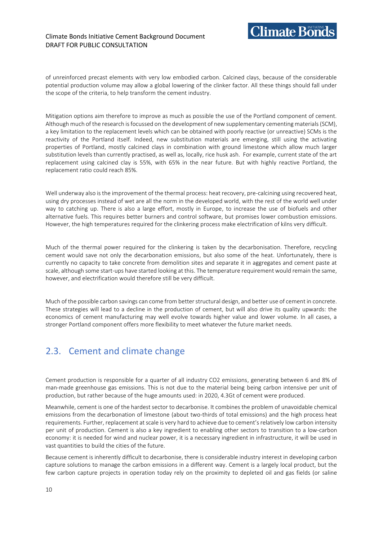$C$ limate Bonds

of unreinforced precast elements with very low embodied carbon. Calcined clays, because of the considerable potential production volume may allow a global lowering of the clinker factor. All these things should fall under the scope of the criteria, to help transform the cement industry.

Mitigation options aim therefore to improve as much as possible the use of the Portland component of cement. Although much of the research is focussed on the development of new supplementary cementing materials (SCM), a key limitation to the replacement levels which can be obtained with poorly reactive (or unreactive) SCMs is the reactivity of the Portland itself. Indeed, new substitution materials are emerging, still using the activating properties of Portland, mostly calcined clays in combination with ground limestone which allow much larger substitution levels than currently practised, as well as, locally, rice husk ash. For example, current state of the art replacement using calcined clay is 55%, with 65% in the near future. But with highly reactive Portland, the replacement ratio could reach 85%.

Well underway also is the improvement of the thermal process: heat recovery, pre-calcining using recovered heat, using dry processes instead of wet are all the norm in the developed world, with the rest of the world well under way to catching up. There is also a large effort, mostly in Europe, to increase the use of biofuels and other alternative fuels. This requires better burners and control software, but promises lower combustion emissions. However, the high temperatures required for the clinkering process make electrification of kilns very difficult.

Much of the thermal power required for the clinkering is taken by the decarbonisation. Therefore, recycling cement would save not only the decarbonation emissions, but also some of the heat. Unfortunately, there is currently no capacity to take concrete from demolition sites and separate it in aggregates and cement paste at scale, although some start-ups have started looking at this. The temperature requirement would remain the same, however, and electrification would therefore still be very difficult.

Much of the possible carbon savings can come from better structural design, and better use of cement in concrete. These strategies will lead to a decline in the production of cement, but will also drive its quality upwards: the economics of cement manufacturing may well evolve towards higher value and lower volume. In all cases, a stronger Portland component offers more flexibility to meet whatever the future market needs.

### <span id="page-11-0"></span>2.3. Cement and climate change

Cement production is responsible for a quarter of all industry CO2 emissions, generating between 6 and 8% of man-made greenhouse gas emissions. This is not due to the material being being carbon intensive per unit of production, but rather because of the huge amounts used: in 2020, 4.3Gt of cement were produced.

Meanwhile, cement is one of the hardest sector to decarbonise. It combines the problem of unavoidable chemical emissions from the decarbonation of limestone (about two-thirds of total emissions) and the high process heat requirements. Further, replacement at scale is very hard to achieve due to cement's relatively low carbon intensity per unit of production. Cement is also a key ingredient to enabling other sectors to transition to a low-carbon economy: it is needed for wind and nuclear power, it is a necessary ingredient in infrastructure, it will be used in vast quantities to build the cities of the future.

Because cement is inherently difficult to decarbonise, there is considerable industry interest in developing carbon capture solutions to manage the carbon emissions in a different way. Cement is a largely local product, but the few carbon capture projects in operation today rely on the proximity to depleted oil and gas fields (or saline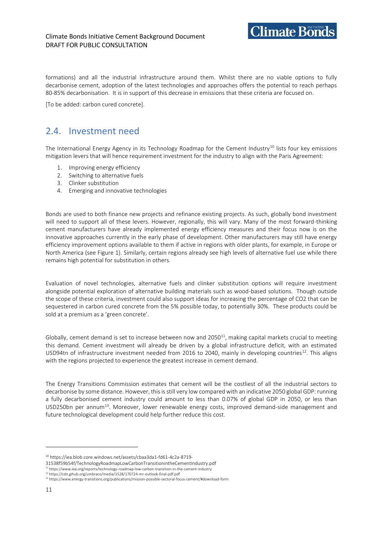formations) and all the industrial infrastructure around them. Whilst there are no viable options to fully decarbonise cement, adoption of the latest technologies and approaches offers the potential to reach perhaps 80-85% decarbonisation. It is in support of this decrease in emissions that these criteria are focused on.

 $\gamma$ limate Bonds

[To be added: carbon cured concrete].

### <span id="page-12-0"></span>2.4. Investment need

The International Energy Agency in its Technology Roadmap for the Cement Industry<sup>10</sup> lists four key emissions mitigation levers that will hence requirement investment for the industry to align with the Paris Agreement:

- 1. Improving energy efficiency
- 2. Switching to alternative fuels
- 3. Clinker substitution
- 4. Emerging and innovative technologies

Bonds are used to both finance new projects and refinance existing projects. As such, globally bond investment will need to support all of these levers. However, regionally, this will vary. Many of the most forward-thinking cement manufacturers have already implemented energy efficiency measures and their focus now is on the innovative approaches currently in the early phase of development. Other manufacturers may still have energy efficiency improvement options available to them if active in regions with older plants, for example, in Europe or North America (see Figure 1). Similarly, certain regions already see high levels of alternative fuel use while there remains high potential for substitution in others.

Evaluation of novel technologies, alternative fuels and clinker substitution options will require investment alongside potential exploration of alternative building materials such as wood-based solutions. Though outside the scope of these criteria, investment could also support ideas for increasing the percentage of CO2 that can be sequestered in carbon cured concrete from the 5% possible today, to potentially 30%. These products could be sold at a premium as a 'green concrete'.

Globally, cement demand is set to increase between now and  $2050^{11}$ , making capital markets crucial to meeting this demand. Cement investment will already be driven by a global infrastructure deficit, with an estimated USD94tn of infrastructure investment needed from 2016 to 2040, mainly in developing countries<sup>12</sup>. This aligns with the regions projected to experience the greatest increase in cement demand.

The Energy Transitions Commission estimates that cement will be the costliest of all the industrial sectors to decarbonise by some distance. However, this is still very low compared with an indicative 2050 global GDP: running a fully decarbonised cement industry could amount to less than 0.07% of global GDP in 2050, or less than USD250bn per annum<sup>13</sup>. Moreover, lower renewable energy costs, improved demand-side management and future technological development could help further reduce this cost.

<sup>10</sup> https://iea.blob.core.windows.net/assets/cbaa3da1-fd61-4c2a-8719-

<sup>31538</sup>f59b54f/TechnologyRoadmapLowCarbonTransitionintheCementIndustry.pdf

<sup>11</sup> https://www.iea.org/reports/technology-roadmap-low-carbon-transition-in-the-cement-industry

<sup>12</sup> https://cdn.gihub.org/umbraco/media/1528/170724-mr-outlook-final-pdf.pdf

<sup>13</sup> https://www.energy-transitions.org/publications/mission-possible-sectoral-focus-cement/#download-form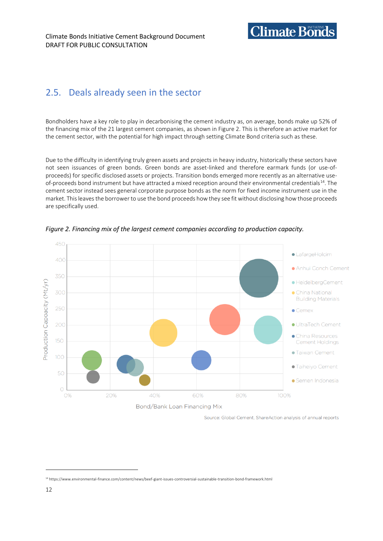## **Climate Bonds**

### <span id="page-13-0"></span>2.5. Deals already seen in the sector

Bondholders have a key role to play in decarbonising the cement industry as, on average, bonds make up 52% of the financing mix of the 21 largest cement companies, as shown in Figure 2. This is therefore an active market for the cement sector, with the potential for high impact through setting Climate Bond criteria such as these.

Due to the difficulty in identifying truly green assets and projects in heavy industry, historically these sectors have not seen issuances of green bonds. Green bonds are asset-linked and therefore earmark funds (or use-ofproceeds) for specific disclosed assets or projects. Transition bonds emerged more recently as an alternative useof-proceeds bond instrument but have attracted a mixed reception around their environmental credentials<sup>14</sup>. The cement sector instead sees general corporate purpose bonds as the norm for fixed income instrument use in the market. This leaves the borrower to use the bond proceeds how they see fit without disclosing how those proceeds are specifically used.



*Figure 2. Financing mix of the largest cement companies according to production capacity.*

Source: Global Cement, ShareAction analysis of annual reports

<sup>14</sup> https://www.environmental-finance.com/content/news/beef-giant-issues-controversial-sustainable-transition-bond-framework.html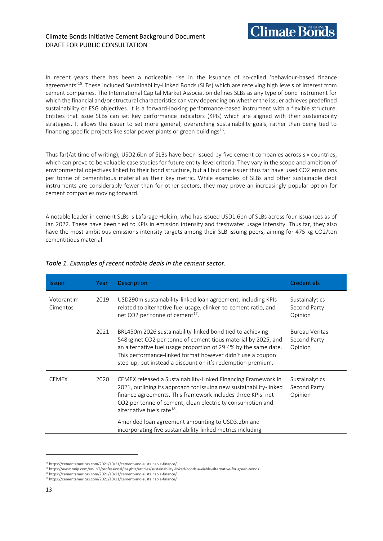

In recent years there has been a noticeable rise in the issuance of so-called 'behaviour-based finance agreements'<sup>15</sup>. These included Sustainability-Linked Bonds (SLBs) which are receiving high levels of interest from cement companies. The International Capital Market Association defines SLBs as any type of bond instrument for which the financial and/or structural characteristics can vary depending on whether the issuer achieves predefined sustainability or ESG objectives. It is a forward-looking performance-based instrument with a flexible structure. Entities that issue SLBs can set key performance indicators (KPIs) which are aligned with their sustainability strategies. It allows the issuer to set more general, overarching sustainability goals, rather than being tied to financing specific projects like solar power plants or green buildings $^{16}$ .

Thus far(/at time of writing), USD2.6bn of SLBs have been issued by five cement companies across six countries, which can prove to be valuable case studies for future entity-level criteria. They vary in the scope and ambition of environmental objectives linked to their bond structure, but all but one issuer thus far have used CO2 emissions per tonne of cementitious material as their key metric. While examples of SLBs and other sustainable debt instruments are considerably fewer than for other sectors, they may prove an increasingly popular option for cement companies moving forward.

A notable leader in cement SLBs is Lafarage Holcim, who has issued USD1.6bn of SLBs across four issuances as of Jan 2022. These have been tied to KPIs in emission intensity and freshwater usage intensity. Thus far, they also have the most ambitious emissions intensity targets among their SLB-issuing peers, aiming for 475 kg CO2/ton cementitious material.

| <b>Issuer</b>          | Year | Description                                                                                                                                                                                                                                                                                                                | <b>Credentials</b>                        |
|------------------------|------|----------------------------------------------------------------------------------------------------------------------------------------------------------------------------------------------------------------------------------------------------------------------------------------------------------------------------|-------------------------------------------|
| Votorantim<br>Cimentos | 2019 | USD290m sustainability-linked loan agreement, including KPIs<br>related to alternative fuel usage, clinker-to-cement ratio, and<br>net CO2 per tonne of cement <sup>17</sup> .                                                                                                                                             | Sustainalytics<br>Second Party<br>Opinion |
|                        | 2021 | BRL450m 2026 sustainability-linked bond tied to achieving<br>548kg net CO2 per tonne of cementitious material by 2025, and<br>an alternative fuel usage proportion of 29.4% by the same date.<br>This performance-linked format however didn't use a coupon<br>step-up, but instead a discount on it's redemption premium. | Bureau Veritas<br>Second Party<br>Opinion |
| <b>CEMEX</b><br>2020   |      | CEMEX released a Sustainability-Linked Financing Framework in<br>2021, outlining its approach for issuing new sustainability-linked<br>finance agreements. This framework includes three KPIs: net<br>CO2 per tonne of cement, clean electricity consumption and<br>alternative fuels rate <sup>18</sup> .                 | Sustainalytics<br>Second Party<br>Opinion |
|                        |      | Amended loan agreement amounting to USD3.2bn and<br>incorporating five sustainability-linked metrics including                                                                                                                                                                                                             |                                           |

#### *Table 1. Examples of recent notable deals in the cement sector.*

<sup>15</sup> https://cementamericas.com/2021/10/21/cement-and-sustainable-finance/

<sup>16</sup> https://www.nnip.com/en-INT/professional/insights/articles/sustainability-linked-bonds-a-viable-alternative-for-green-bonds

<sup>17</sup> https://cementamericas.com/2021/10/21/cement-and-sustainable-finance/

<sup>18</sup> https://cementamericas.com/2021/10/21/cement-and-sustainable-finance/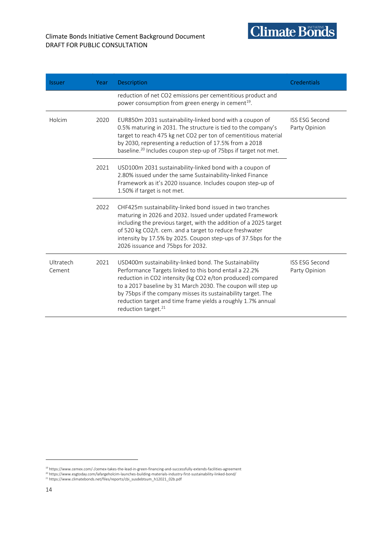

| <b>Issuer</b>       | Year | Description                                                                                                                                                                                                                                                                                                                                                                                                         | <b>Credentials</b>                     |  |
|---------------------|------|---------------------------------------------------------------------------------------------------------------------------------------------------------------------------------------------------------------------------------------------------------------------------------------------------------------------------------------------------------------------------------------------------------------------|----------------------------------------|--|
|                     |      | reduction of net CO2 emissions per cementitious product and<br>power consumption from green energy in cement <sup>19</sup> .                                                                                                                                                                                                                                                                                        |                                        |  |
| Holcim              | 2020 | EUR850m 2031 sustainability-linked bond with a coupon of<br>0.5% maturing in 2031. The structure is tied to the company's<br>target to reach 475 kg net CO2 per ton of cementitious material<br>by 2030, representing a reduction of 17.5% from a 2018<br>baseline. <sup>20</sup> Includes coupon step-up of 75bps if target not met.                                                                               | <b>ISS ESG Second</b><br>Party Opinion |  |
|                     | 2021 | USD100m 2031 sustainability-linked bond with a coupon of<br>2.80% issued under the same Sustainability-linked Finance<br>Framework as it's 2020 issuance. Includes coupon step-up of<br>1.50% if target is not met.                                                                                                                                                                                                 |                                        |  |
|                     | 2022 | CHF425m sustainability-linked bond issued in two tranches<br>maturing in 2026 and 2032. Issued under updated Framework<br>including the previous target, with the addition of a 2025 target<br>of 520 kg CO2/t. cem. and a target to reduce freshwater<br>intensity by 17.5% by 2025. Coupon step-ups of 37.5bps for the<br>2026 issuance and 75bps for 2032.                                                       |                                        |  |
| Ultratech<br>Cement | 2021 | USD400m sustainability-linked bond. The Sustainability<br>Performance Targets linked to this bond entail a 22.2%<br>reduction in CO2 intensity (kg CO2 e/ton produced) compared<br>to a 2017 baseline by 31 March 2030. The coupon will step up<br>by 75bps if the company misses its sustainability target. The<br>reduction target and time frame yields a roughly 1.7% annual<br>reduction target. <sup>21</sup> | <b>ISS ESG Second</b><br>Party Opinion |  |

<sup>19</sup> https://www.cemex.com/-/cemex-takes-the-lead-in-green-financing-and-successfully-extends-facilities-agreement <sup>20</sup> https://www.esgtoday.com/lafargeholcim-launches-building-materials-industry-first-sustainability-linked-bond/<br><sup>21</sup> https://www.climatebonds.net/files/reports/cbi\_susdebtsum\_h12021\_02b.pdf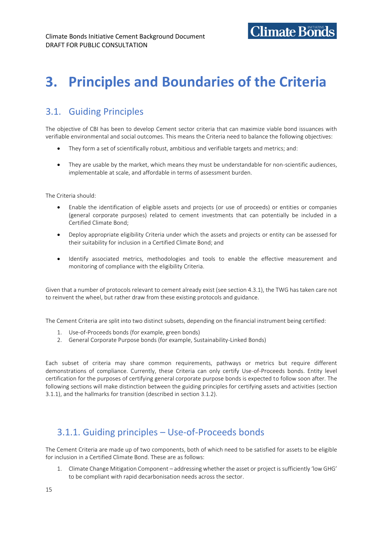**Climate Bonds** 

### <span id="page-16-1"></span><span id="page-16-0"></span>3.1. Guiding Principles

The objective of CBI has been to develop Cement sector criteria that can maximize viable bond issuances with verifiable environmental and social outcomes. This means the Criteria need to balance the following objectives:

- They form a set of scientifically robust, ambitious and verifiable targets and metrics; and:
- They are usable by the market, which means they must be understandable for non-scientific audiences, implementable at scale, and affordable in terms of assessment burden.

The Criteria should:

- Enable the identification of eligible assets and projects (or use of proceeds) or entities or companies (general corporate purposes) related to cement investments that can potentially be included in a Certified Climate Bond;
- Deploy appropriate eligibility Criteria under which the assets and projects or entity can be assessed for their suitability for inclusion in a Certified Climate Bond; and
- Identify associated metrics, methodologies and tools to enable the effective measurement and monitoring of compliance with the eligibility Criteria.

Given that a number of protocols relevant to cement already exist (see section 4.3.1), the TWG has taken care not to reinvent the wheel, but rather draw from these existing protocols and guidance.

The Cement Criteria are split into two distinct subsets, depending on the financial instrument being certified:

- 1. Use-of-Proceeds bonds (for example, green bonds)
- 2. General Corporate Purpose bonds (for example, Sustainability-Linked Bonds)

Each subset of criteria may share common requirements, pathways or metrics but require different demonstrations of compliance. Currently, these Criteria can only certify Use-of-Proceeds bonds. Entity level certification for the purposes of certifying general corporate purpose bonds is expected to follow soon after. The following sections will make distinction between the guiding principles for certifying assets and activities (section 3.1.1), and the hallmarks for transition (described in section 3.1.2).

### <span id="page-16-2"></span>3.1.1. Guiding principles – Use-of-Proceeds bonds

The Cement Criteria are made up of two components, both of which need to be satisfied for assets to be eligible for inclusion in a Certified Climate Bond. These are as follows:

1. Climate Change Mitigation Component – addressing whether the asset or project is sufficiently 'low GHG' to be compliant with rapid decarbonisation needs across the sector.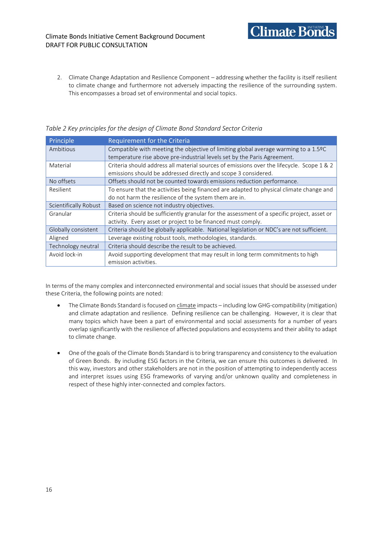2. Climate Change Adaptation and Resilience Component – addressing whether the facility is itself resilient to climate change and furthermore not adversely impacting the resilience of the surrounding system. This encompasses a broad set of environmental and social topics.

**Climate Bonds** 

| Principle             | Requirement for the Criteria                                                                |
|-----------------------|---------------------------------------------------------------------------------------------|
| Ambitious             | Compatible with meeting the objective of limiting global average warming to a 1.5ºC         |
|                       | temperature rise above pre-industrial levels set by the Paris Agreement.                    |
| Material              | Criteria should address all material sources of emissions over the lifecycle. Scope 1 & 2   |
|                       | emissions should be addressed directly and scope 3 considered.                              |
| No offsets            | Offsets should not be counted towards emissions reduction performance.                      |
| Resilient             | To ensure that the activities being financed are adapted to physical climate change and     |
|                       | do not harm the resilience of the system them are in.                                       |
| Scientifically Robust | Based on science not industry objectives.                                                   |
| Granular              | Criteria should be sufficiently granular for the assessment of a specific project, asset or |
|                       | activity. Every asset or project to be financed must comply.                                |
| Globally consistent   | Criteria should be globally applicable. National legislation or NDC's are not sufficient.   |
| Aligned               | Leverage existing robust tools, methodologies, standards.                                   |
| Technology neutral    | Criteria should describe the result to be achieved.                                         |
| Avoid lock-in         | Avoid supporting development that may result in long term commitments to high               |
|                       | emission activities.                                                                        |

*Table 2 Key principles for the design of Climate Bond Standard Sector Criteria*

In terms of the many complex and interconnected environmental and social issues that should be assessed under these Criteria, the following points are noted:

- The Climate Bonds Standard is focused on *climate* impacts including low GHG-compatibility (mitigation) and climate adaptation and resilience. Defining resilience can be challenging. However, it is clear that many topics which have been a part of environmental and social assessments for a number of years overlap significantly with the resilience of affected populations and ecosystems and their ability to adapt to climate change.
- One of the goals of the Climate Bonds Standard is to bring transparency and consistency to the evaluation of Green Bonds. By including ESG factors in the Criteria, we can ensure this outcomes is delivered. In this way, investors and other stakeholders are not in the position of attempting to independently access and interpret issues using ESG frameworks of varying and/or unknown quality and completeness in respect of these highly inter-connected and complex factors.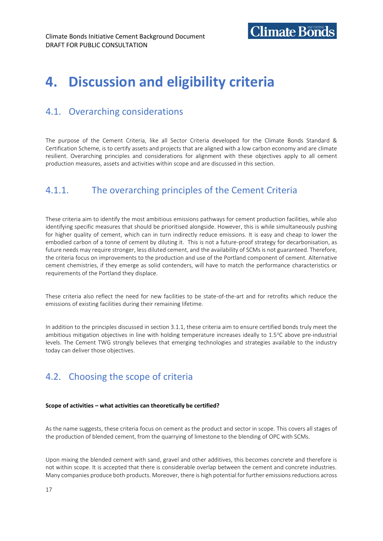# <span id="page-18-0"></span>**4. Discussion and eligibility criteria**

### <span id="page-18-1"></span>4.1. Overarching considerations

The purpose of the Cement Criteria, like all Sector Criteria developed for the Climate Bonds Standard & Certification Scheme, is to certify assets and projects that are aligned with a low carbon economy and are climate resilient. Overarching principles and considerations for alignment with these objectives apply to all cement production measures, assets and activities within scope and are discussed in this section.

### <span id="page-18-2"></span>4.1.1. The overarching principles of the Cement Criteria

These criteria aim to identify the most ambitious emissions pathways for cement production facilities, while also identifying specific measures that should be prioritised alongside. However, this is while simultaneously pushing for higher quality of cement, which can in turn indirectly reduce emissions. It is easy and cheap to lower the embodied carbon of a tonne of cement by diluting it. This is not a future-proof strategy for decarbonisation, as future needs may require stronger, less diluted cement, and the availability of SCMs is not guaranteed. Therefore, the criteria focus on improvements to the production and use of the Portland component of cement. Alternative cement chemistries, if they emerge as solid contenders, will have to match the performance characteristics or requirements of the Portland they displace.

These criteria also reflect the need for new facilities to be state-of-the-art and for retrofits which reduce the emissions of existing facilities during their remaining lifetime.

In addition to the principles discussed in section 3.1.1, these criteria aim to ensure certified bonds truly meet the ambitious mitigation objectives in line with holding temperature increases ideally to 1.5°C above pre-industrial levels. The Cement TWG strongly believes that emerging technologies and strategies available to the industry today can deliver those objectives.

### <span id="page-18-3"></span>4.2. Choosing the scope of criteria

#### **Scope of activities – what activities can theoretically be certified?**

As the name suggests, these criteria focus on cement as the product and sector in scope. This covers all stages of the production of blended cement, from the quarrying of limestone to the blending of OPC with SCMs.

Upon mixing the blended cement with sand, gravel and other additives, this becomes concrete and therefore is not within scope. It is accepted that there is considerable overlap between the cement and concrete industries. Many companies produce both products. Moreover, there is high potential for further emissions reductions across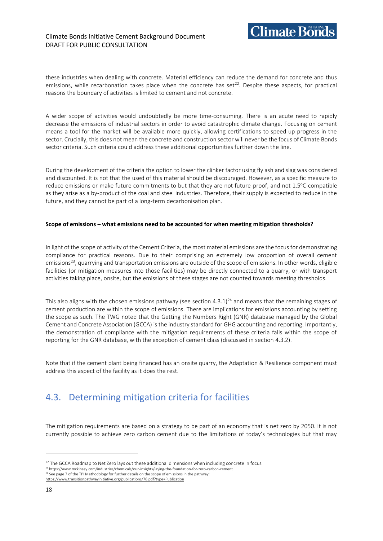#### Climate Bonds Initiative Cement Background Document DRAFT FOR PUBLIC CONSULTATION



these industries when dealing with concrete. Material efficiency can reduce the demand for concrete and thus emissions, while recarbonation takes place when the concrete has set $^{22}$ . Despite these aspects, for practical reasons the boundary of activities is limited to cement and not concrete.

A wider scope of activities would undoubtedly be more time-consuming. There is an acute need to rapidly decrease the emissions of industrial sectors in order to avoid catastrophic climate change. Focusing on cement means a tool for the market will be available more quickly, allowing certifications to speed up progress in the sector. Crucially, this does not mean the concrete and construction sector will never be the focus of Climate Bonds sector criteria. Such criteria could address these additional opportunities further down the line.

During the development of the criteria the option to lower the clinker factor using fly ash and slag was considered and discounted. It is not that the used of this material should be discouraged. However, as a specific measure to reduce emissions or make future commitments to but that they are not future-proof, and not 1.5°C-compatible as they arise as a by-product of the coal and steel industries. Therefore, their supply is expected to reduce in the future, and they cannot be part of a long-term decarbonisation plan.

#### **Scope of emissions – what emissions need to be accounted for when meeting mitigation thresholds?**

In light of the scope of activity of the Cement Criteria, the most material emissions are the focus for demonstrating compliance for practical reasons. Due to their comprising an extremely low proportion of overall cement emissions<sup>23</sup>, quarrying and transportation emissions are outside of the scope of emissions. In other words, eligible facilities (or mitigation measures into those facilities) may be directly connected to a quarry, or with transport activities taking place, onsite, but the emissions of these stages are not counted towards meeting thresholds.

This also aligns with the chosen emissions pathway (see section 4.3.1)<sup>24</sup> and means that the remaining stages of cement production are within the scope of emissions. There are implications for emissions accounting by setting the scope as such. The TWG noted that the Getting the Numbers Right (GNR) database managed by the Global Cement and Concrete Association (GCCA) is the industry standard for GHG accounting and reporting. Importantly, the demonstration of compliance with the mitigation requirements of these criteria falls within the scope of reporting for the GNR database, with the exception of cement class (discussed in section 4.3.2).

Note that if the cement plant being financed has an onsite quarry, the Adaptation & Resilience component must address this aspect of the facility as it does the rest.

### <span id="page-19-0"></span>4.3. Determining mitigation criteria for facilities

The mitigation requirements are based on a strategy to be part of an economy that is net zero by 2050. It is not currently possible to achieve zero carbon cement due to the limitations of today's technologies but that may

 $22$  The GCCA Roadmap to Net Zero lays out these additional dimensions when including concrete in focus.

<sup>23</sup> https://www.mckinsey.com/industries/chemicals/our-insights/laying-the-foundation-for-zero-carbon-cement <sup>24</sup> See page 7 of the TPI Methodology for further details on the scope of emissions in the pathway: <https://www.transitionpathwayinitiative.org/publications/76.pdf?type=Publication>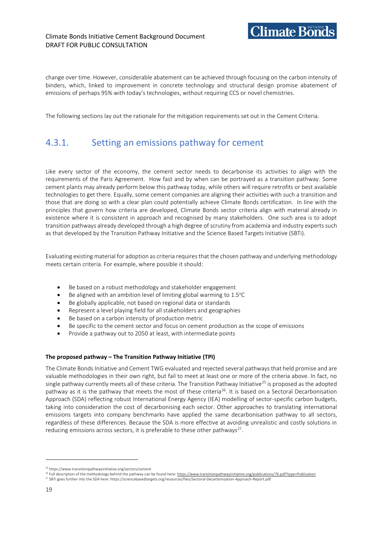#### Climate Bonds Initiative Cement Background Document DRAFT FOR PUBLIC CONSULTATION

change over time. However, considerable abatement can be achieved through focusing on the carbon intensity of binders, which, linked to improvement in concrete technology and structural design promise abatement of emissions of perhaps 95% with today's technologies, without requiring CCS or novel chemistries.

The following sections lay out the rationale for the mitigation requirements set out in the Cement Criteria.

### <span id="page-20-0"></span>4.3.1. Setting an emissions pathway for cement

Like every sector of the economy, the cement sector needs to decarbonise its activities to align with the requirements of the Paris Agreement. How fast and by when can be portrayed as a transition pathway. Some cement plants may already perform below this pathway today, while others will require retrofits or best available technologies to get there. Equally, some cement companies are aligning their activities with such a transition and those that are doing so with a clear plan could potentially achieve Climate Bonds certification. In line with the principles that govern how criteria are developed, Climate Bonds sector criteria align with material already in existence where it is consistent in approach and recognised by many stakeholders. One such area is to adopt transition pathways already developed through a high degree of scrutiny from academia and industry experts such as that developed by the Transition Pathway Initiative and the Science Based Targets Initiative (SBTi).

Evaluating existing material for adoption as criteria requires that the chosen pathway and underlying methodology meets certain criteria. For example, where possible it should:

- Be based on a robust methodology and stakeholder engagement
- Be aligned with an ambition level of limiting global warming to 1.5°C
- Be globally applicable, not based on regional data or standards
- Represent a level playing field for all stakeholders and geographies
- Be based on a carbon intensity of production metric
- Be specific to the cement sector and focus on cement production as the scope of emissions
- Provide a pathway out to 2050 at least, with intermediate points

#### **The proposed pathway – The Transition Pathway Initiative (TPI)**

The Climate Bonds Initiative and Cement TWG evaluated and rejected several pathways that held promise and are valuable methodologies in their own right, but fail to meet at least one or more of the criteria above. In fact, no single pathway currently meets all of these criteria. The Transition Pathway Initiative<sup>25</sup> is proposed as the adopted pathway as it is the pathway that meets the most of these criteria<sup>26</sup>. It is based on a Sectoral Decarbonisation Approach (SDA) reflecting robust International Energy Agency (IEA) modelling of sector-specific carbon budgets, taking into consideration the cost of decarbonising each sector. Other approaches to translating international emissions targets into company benchmarks have applied the same decarbonisation pathway to all sectors, regardless of these differences. Because the SDA is more effective at avoiding unrealistic and costly solutions in reducing emissions across sectors, it is preferable to these other pathways<sup>27</sup>.

<sup>25</sup> https://www.transitionpathwayinitiative.org/sectors/cement

<sup>&</sup>lt;sup>26</sup> Full description of the methodology behind the pathway can be found here[: https://www.transitionpathwayinitiative.org/publications/76.pdf?type=Publication](https://www.transitionpathwayinitiative.org/publications/76.pdf?type=Publication) <sup>27</sup> SBTi goes further into the SDA here: https://sciencebasedtargets.org/resources/files/Sectoral-Decarbonization-Approach-Report.pdf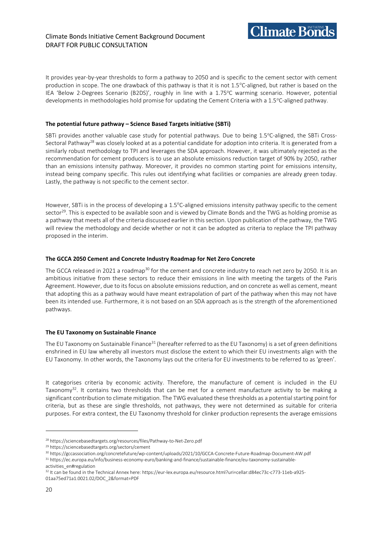It provides year-by-year thresholds to form a pathway to 2050 and is specific to the cement sector with cement production in scope. The one drawback of this pathway is that it is not 1.5°C-aligned, but rather is based on the IEA 'Below 2-Degrees Scenario (B2DS)', roughly in line with a 1.75°C warming scenario. However, potential developments in methodologies hold promise for updating the Cement Criteria with a 1.5°C-aligned pathway.

#### **The potential future pathway – Science Based Targets initiative (SBTi)**

SBTi provides another valuable case study for potential pathways. Due to being 1.5°C-aligned, the SBTi Cross-Sectoral Pathway<sup>28</sup> was closely looked at as a potential candidate for adoption into criteria. It is generated from a similarly robust methodology to TPI and leverages the SDA approach. However, it was ultimately rejected as the recommendation for cement producers is to use an absolute emissions reduction target of 90% by 2050, rather than an emissions intensity pathway. Moreover, it provides no common starting point for emissions intensity, instead being company specific. This rules out identifying what facilities or companies are already green today. Lastly, the pathway is not specific to the cement sector.

However, SBTi is in the process of developing a 1.5°C-aligned emissions intensity pathway specific to the cement sector<sup>29</sup>. This is expected to be available soon and is viewed by Climate Bonds and the TWG as holding promise as a pathway that meets all of the criteria discussed earlier in this section. Upon publication of the pathway, the TWG will review the methodology and decide whether or not it can be adopted as criteria to replace the TPI pathway proposed in the interim.

#### **The GCCA 2050 Cement and Concrete Industry Roadmap for Net Zero Concrete**

The GCCA released in 2021 a roadmap<sup>30</sup> for the cement and concrete industry to reach net zero by 2050. It is an ambitious initiative from these sectors to reduce their emissions in line with meeting the targets of the Paris Agreement. However, due to its focus on absolute emissions reduction, and on concrete as well as cement, meant that adopting this as a pathway would have meant extrapolation of part of the pathway when this may not have been its intended use. Furthermore, it is not based on an SDA approach as is the strength of the aforementioned pathways.

#### **The EU Taxonomy on Sustainable Finance**

The EU Taxonomy on Sustainable Finance<sup>31</sup> (hereafter referred to as the EU Taxonomy) is a set of green definitions enshrined in EU law whereby all investors must disclose the extent to which their EU investments align with the EU Taxonomy. In other words, the Taxonomy lays out the criteria for EU investments to be referred to as 'green'.

It categorises criteria by economic activity. Therefore, the manufacture of cement is included in the EU Taxonomy<sup>32</sup>. It contains two thresholds that can be met for a cement manufacture activity to be making a significant contribution to climate mitigation. The TWG evaluated these thresholds as a potential starting point for criteria, but as these are single thresholds, not pathways, they were not determined as suitable for criteria purposes. For extra context, the EU Taxonomy threshold for clinker production represents the average emissions

<sup>28</sup> https://sciencebasedtargets.org/resources/files/Pathway-to-Net-Zero.pdf

<sup>29</sup> https://sciencebasedtargets.org/sectors/cement

<sup>30</sup> https://gccassociation.org/concretefuture/wp-content/uploads/2021/10/GCCA-Concrete-Future-Roadmap-Document-AW.pdf

<sup>31</sup> https://ec.europa.eu/info/business-economy-euro/banking-and-finance/sustainable-finance/eu-taxonomy-sustainableactivities\_en#regulation

<sup>32</sup> It can be found in the Technical Annex here: https://eur-lex.europa.eu/resource.html?uri=cellar:d84ec73c-c773-11eb-a925- 01aa75ed71a1.0021.02/DOC\_2&format=PDF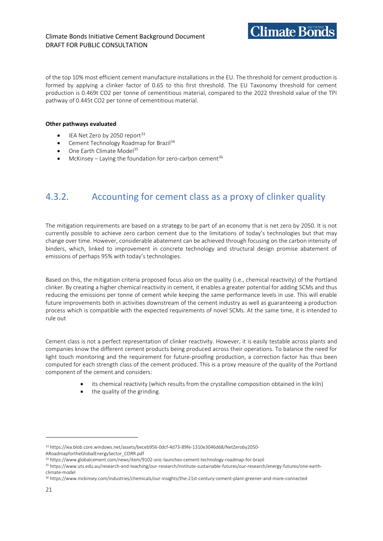

of the top 10% most efficient cement manufacture installations in the EU. The threshold for cement production is formed by applying a clinker factor of 0.65 to this first threshold. The EU Taxonomy threshold for cement production is 0.469t CO2 per tonne of cementitious material, compared to the 2022 threshold value of the TPI pathway of 0.445t CO2 per tonne of cementitious material.

#### **Other pathways evaluated**

- IEA Net Zero by 2050 report<sup>33</sup>
- Cement Technology Roadmap for Brazil<sup>34</sup>
- One Earth Climate Model<sup>35</sup>
- McKinsey Laying the foundation for zero-carbon cement<sup>36</sup>

### <span id="page-22-0"></span>4.3.2. Accounting for cement class as a proxy of clinker quality

The mitigation requirements are based on a strategy to be part of an economy that is net zero by 2050. It is not currently possible to achieve zero carbon cement due to the limitations of today's technologies but that may change over time. However, considerable abatement can be achieved through focusing on the carbon intensity of binders, which, linked to improvement in concrete technology and structural design promise abatement of emissions of perhaps 95% with today's technologies.

Based on this, the mitigation criteria proposed focus also on the quality (i.e., chemical reactivity) of the Portland clinker. By creating a higher chemical reactivity in cement, it enables a greater potential for adding SCMs and thus reducing the emissions per tonne of cement while keeping the same performance levels in use. This will enable future improvements both in activities downstream of the cement industry as well as guaranteeing a production process which is compatible with the expected requirements of novel SCMs. At the same time, it is intended to rule out

Cement class is not a perfect representation of clinker reactivity. However, it is easily testable across plants and companies know the different cement products being produced across their operations. To balance the need for light touch monitoring and the requirement for future-proofing production, a correction factor has thus been computed for each strength class of the cement produced. This is a proxy measure of the quality of the Portland component of the cement and considers:

- its chemical reactivity (which results from the crystalline composition obtained in the kiln)
- the quality of the grinding.

<sup>33</sup> https://iea.blob.core.windows.net/assets/beceb956-0dcf-4d73-89fe-1310e3046d68/NetZeroby2050-

ARoadmapfortheGlobalEnergySector\_CORR.pdf

<sup>34</sup> https://www.globalcement.com/news/item/9102-snic-launches-cement-technology-roadmap-for-brazil

<sup>35</sup> https://www.uts.edu.au/research-and-teaching/our-research/institute-sustainable-futures/our-research/energy-futures/one-earthclimate-model

<sup>36</sup> https://www.mckinsey.com/industries/chemicals/our-insights/the-21st-century-cement-plant-greener-and-more-connected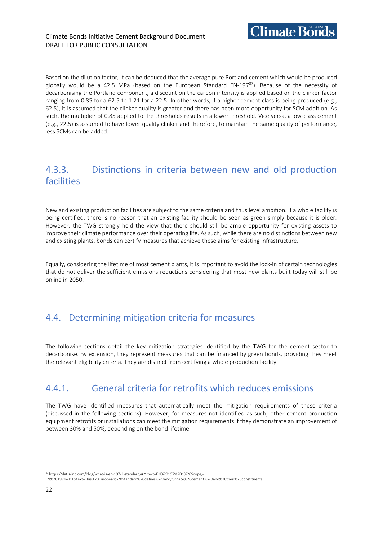Based on the dilution factor, it can be deduced that the average pure Portland cement which would be produced globally would be a 42.5 MPa (based on the European Standard EN-197 $37$ ). Because of the necessity of decarbonising the Portland component, a discount on the carbon intensity is applied based on the clinker factor ranging from 0.85 for a 62.5 to 1.21 for a 22.5. In other words, if a higher cement class is being produced (e.g., 62.5), it is assumed that the clinker quality is greater and there has been more opportunity for SCM addition. As such, the multiplier of 0.85 applied to the thresholds results in a lower threshold. Vice versa, a low-class cement (e.g., 22.5) is assumed to have lower quality clinker and therefore, to maintain the same quality of performance, less SCMs can be added.

### <span id="page-23-0"></span>4.3.3. Distinctions in criteria between new and old production facilities

New and existing production facilities are subject to the same criteria and thus level ambition. If a whole facility is being certified, there is no reason that an existing facility should be seen as green simply because it is older. However, the TWG strongly held the view that there should still be ample opportunity for existing assets to improve their climate performance over their operating life. As such, while there are no distinctions between new and existing plants, bonds can certify measures that achieve these aims for existing infrastructure.

Equally, considering the lifetime of most cement plants, it is important to avoid the lock-in of certain technologies that do not deliver the sufficient emissions reductions considering that most new plants built today will still be online in 2050.

### <span id="page-23-1"></span>4.4. Determining mitigation criteria for measures

The following sections detail the key mitigation strategies identified by the TWG for the cement sector to decarbonise. By extension, they represent measures that can be financed by green bonds, providing they meet the relevant eligibility criteria. They are distinct from certifying a whole production facility.

### <span id="page-23-2"></span>4.4.1. General criteria for retrofits which reduces emissions

The TWG have identified measures that automatically meet the mitigation requirements of these criteria (discussed in the following sections). However, for measures not identified as such, other cement production equipment retrofits or installations can meet the mitigation requirements if they demonstrate an improvement of between 30% and 50%, depending on the bond lifetime.

<sup>37</sup> https://datis-inc.com/blog/what-is-en-197-1-standard/#:~:text=EN%20197%2D1%20Scope,

EN%20197%2D1&text=This%20European%20Standard%20defines%20and,furnace%20cements%20and%20their%20constituents.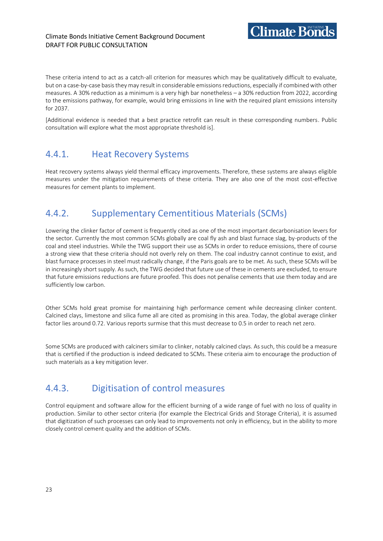#### Climate Bonds Initiative Cement Background Document DRAFT FOR PUBLIC CONSULTATION

These criteria intend to act as a catch-all criterion for measures which may be qualitatively difficult to evaluate, but on a case-by-case basis they may result in considerable emissions reductions, especially if combined with other measures. A 30% reduction as a minimum is a very high bar nonetheless – a 30% reduction from 2022, according to the emissions pathway, for example, would bring emissions in line with the required plant emissions intensity for 2037.

[Additional evidence is needed that a best practice retrofit can result in these corresponding numbers. Public consultation will explore what the most appropriate threshold is].

### <span id="page-24-0"></span>4.4.1. Heat Recovery Systems

Heat recovery systems always yield thermal efficacy improvements. Therefore, these systems are always eligible measures under the mitigation requirements of these criteria. They are also one of the most cost-effective measures for cement plants to implement.

### <span id="page-24-1"></span>4.4.2. Supplementary Cementitious Materials (SCMs)

Lowering the clinker factor of cement is frequently cited as one of the most important decarbonisation levers for the sector. Currently the most common SCMs globally are coal fly ash and blast furnace slag, by-products of the coal and steel industries. While the TWG support their use as SCMs in order to reduce emissions, there of course a strong view that these criteria should not overly rely on them. The coal industry cannot continue to exist, and blast furnace processes in steel must radically change, if the Paris goals are to be met. As such, these SCMs will be in increasingly short supply. As such, the TWG decided that future use of these in cements are excluded, to ensure that future emissions reductions are future proofed. This does not penalise cements that use them today and are sufficiently low carbon.

Other SCMs hold great promise for maintaining high performance cement while decreasing clinker content. Calcined clays, limestone and silica fume all are cited as promising in this area. Today, the global average clinker factor lies around 0.72. Various reports surmise that this must decrease to 0.5 in order to reach net zero.

Some SCMs are produced with calciners similar to clinker, notably calcined clays. As such, this could be a measure that is certified if the production is indeed dedicated to SCMs. These criteria aim to encourage the production of such materials as a key mitigation lever.

### <span id="page-24-2"></span>4.4.3. Digitisation of control measures

Control equipment and software allow for the efficient burning of a wide range of fuel with no loss of quality in production. Similar to other sector criteria (for example the Electrical Grids and Storage Criteria), it is assumed that digitization of such processes can only lead to improvements not only in efficiency, but in the ability to more closely control cement quality and the addition of SCMs.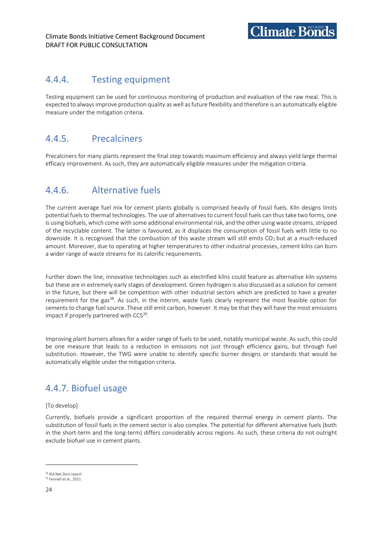

### <span id="page-25-0"></span>4.4.4. Testing equipment

Testing equipment can be used for continuous monitoring of production and evaluation of the raw meal. This is expected to always improve production quality as well as future flexibility and therefore is an automatically eligible measure under the mitigation criteria.

### <span id="page-25-1"></span>4.4.5. Precalciners

Precalciners for many plants represent the final step towards maximum efficiency and always yield large thermal efficacy improvement. As such, they are automatically eligible measures under the mitigation criteria.

### <span id="page-25-2"></span>4.4.6. Alternative fuels

The current average fuel mix for cement plants globally is comprised heavily of fossil fuels. Kiln designs limits potential fuels to thermal technologies. The use of alternatives to current fossil fuels can thus take two forms, one is using biofuels, which come with some additional environmental risk, and the other using waste streams, stripped of the recyclable content. The latter is favoured, as it displaces the consumption of fossil fuels with little to no downside. It is recognised that the combustion of this waste stream will still emits  $CO<sub>2</sub>$  but at a much-reduced amount. Moreover, due to operating at higher temperatures to other industrial processes, cement kilns can burn a wider range of waste streams for its calorific requirements.

Further down the line, innovative technologies such as electrified kilns could feature as alternative kiln systems but these are in extremely early stages of development. Green hydrogen is also discussed as a solution for cement in the future, but there will be competition with other industrial sectors which are predicted to have a greater requirement for the gas<sup>38</sup>. As such, in the interim, waste fuels clearly represent the most feasible option for cements to change fuel source. These still emit carbon, however. It may be that they will have the most emissions impact if properly partnered with CCS 39 .

Improving plant burners allows for a wider range of fuels to be used, notably municipal waste. As such, this could be one measure that leads to a reduction in emissions not just through efficiency gains, but through fuel substitution. However, the TWG were unable to identify specific burner designs or standards that would be automatically eligible under the mitigation criteria.

### <span id="page-25-3"></span>4.4.7. Biofuel usage

#### [To develop]

Currently, biofuels provide a significant proportion of the required thermal energy in cement plants. The substitution of fossil fuels in the cement sector is also complex. The potential for different alternative fuels (both in the short-term and the long-term) differs considerably across regions. As such, these criteria do not outright exclude biofuel use in cement plants.

<sup>38</sup> IEA Net Zero report <sup>39</sup> Fennell et al., 2021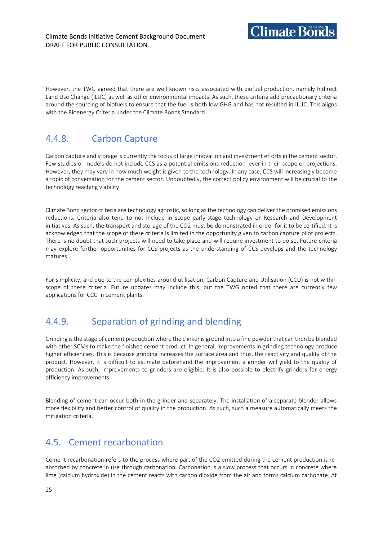**Climate Bonds** 

However, the TWG agreed that there are well known risks associated with biofuel production, namely Indirect Land Use Change (ILUC) as well as other environmental impacts. As such, these criteria add precautionary criteria around the sourcing of biofuels to ensure that the fuel is both low GHG and has not resulted in ILUC. This aligns with the Bioenergy Criteria under the Climate Bonds Standard.

### <span id="page-26-0"></span>4.4.8. Carbon Capture

Carbon capture and storage is currently the focus of large innovation and investment efforts in the cement sector. Few studies or models do not include CCS as a potential emissions reduction lever in their scope or projections. However, they may vary in how much weight is given to the technology. In any case, CCS will increasingly become a topic of conversation for the cement sector. Undoubtedly, the correct policy environment will be crucial to the technology reaching viability.

Climate Bond sector criteria are technology agnostic, so long as the technology can deliver the promised emissions reductions. Criteria also tend to not include in scope early-stage technology or Research and Development initiatives. As such, the transport and storage of the CO2 must be demonstrated in order for it to be certified. It is acknowledged that the scope of these criteria is limited in the opportunity given to carbon capture pilot projects. There is no doubt that such projects will need to take place and will require investment to do so. Future criteria may explore further opportunities for CCS projects as the understanding of CCS develops and the technology matures.

For simplicity, and due to the complexities around utilisation, Carbon Capture and Utilisation (CCU) is not within scope of these criteria. Future updates may include this, but the TWG noted that there are currently few applications for CCU in cement plants.

### <span id="page-26-1"></span>4.4.9. Separation of grinding and blending

Grinding is the stage of cement production where the clinker is ground into a fine powder that can then be blended with other SCMs to make the finished cement product. In general, improvements in grinding technology produce higher efficiencies. This is because grinding increases the surface area and thus, the reactivity and quality of the product. However, it is difficult to estimate beforehand the improvement a grinder will yield to the quality of production. As such, improvements to grinders are eligible. It is also possible to electrify grinders for energy efficiency improvements.

Blending of cement can occur both in the grinder and separately. The installation of a separate blender allows more flexibility and better control of quality in the production. As such, such a measure automatically meets the mitigation criteria.

### <span id="page-26-2"></span>4.5. Cement recarbonation

Cement recarbonation refers to the process where part of the CO2 emitted during the cement production is reabsorbed by concrete in use through carbonation. Carbonation is a slow process that occurs in concrete where lime (calcium hydroxide) in the cement reacts with carbon dioxide from the air and forms calcium carbonate. At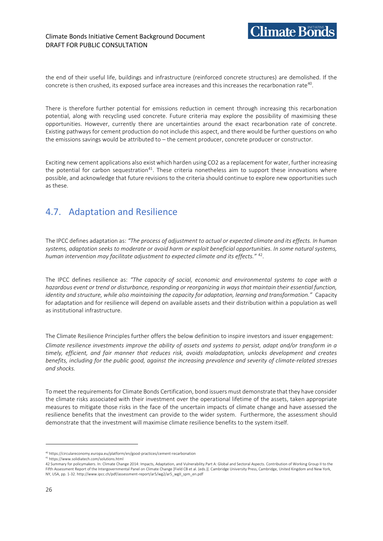the end of their useful life, buildings and infrastructure (reinforced concrete structures) are demolished. If the concrete is then crushed, its exposed surface area increases and this increases the recarbonation rate $\rm ^{40}$ .

There is therefore further potential for emissions reduction in cement through increasing this recarbonation potential, along with recycling used concrete. Future criteria may explore the possibility of maximising these opportunities. However, currently there are uncertainties around the exact recarbonation rate of concrete. Existing pathways for cement production do not include this aspect, and there would be further questions on who the emissions savings would be attributed to – the cement producer, concrete producer or constructor.

Exciting new cement applications also exist which harden using CO2 as a replacement for water, further increasing the potential for carbon sequestration<sup>41</sup>. These criteria nonetheless aim to support these innovations where possible, and acknowledge that future revisions to the criteria should continue to explore new opportunities such as these.

### <span id="page-27-0"></span>4.7. Adaptation and Resilience

The IPCC defines adaptation as: *"The process of adjustment to actual or expected climate and its effects. In human systems, adaptation seeks to moderate or avoid harm or exploit beneficial opportunities. In some natural systems, human intervention may facilitate adjustment to expected climate and its effects."* <sup>42</sup> .

The IPCC defines resilience as: *"The capacity of social, economic and environmental systems to cope with a hazardous event or trend or disturbance, responding or reorganizing in ways that maintain their essential function, identity and structure, while also maintaining the capacity for adaptation, learning and transformation."* Capacity for adaptation and for resilience will depend on available assets and their distribution within a population as well as institutional infrastructure.

The Climate Resilience Principles further offers the below definition to inspire investors and issuer engagement: *Climate resilience investments improve the ability of assets and systems to persist, adapt and/or transform in a timely, efficient, and fair manner that reduces risk, avoids maladaptation, unlocks development and creates benefits, including for the public good, against the increasing prevalence and severity of climate-related stresses and shocks.*

To meet the requirements for Climate Bonds Certification, bond issuers must demonstrate that they have consider the climate risks associated with their investment over the operational lifetime of the assets, taken appropriate measures to mitigate those risks in the face of the uncertain impacts of climate change and have assessed the resilience benefits that the investment can provide to the wider system. Furthermore, the assessment should demonstrate that the investment will maximise climate resilience benefits to the system itself.

 $\rm ^{41}$ https://www.solidiatech.com/solutions.html

<sup>40</sup> https://circulareconomy.europa.eu/platform/en/good-practices/cement-recarbonation

<sup>42</sup> Summary for policymakers. In: Climate Change 2014: Impacts, Adaptation, and Vulnerability.Part A: Global and Sectoral Aspects. Contribution of Working Group II to the Fifth Assessment Report of the Intergovernmental Panel on Climate Change [Field CB et al. (eds.)]. Cambridge University Press, Cambridge, United Kingdom and New York, NY, USA, pp. 1-32[. http://www.ipcc.ch/pdf/assessment-report/ar5/wg2/ar5\\_wgII\\_spm\\_en.pdf](http://www.ipcc.ch/pdf/assessment-report/ar5/wg2/ar5_wgII_spm_en.pdf)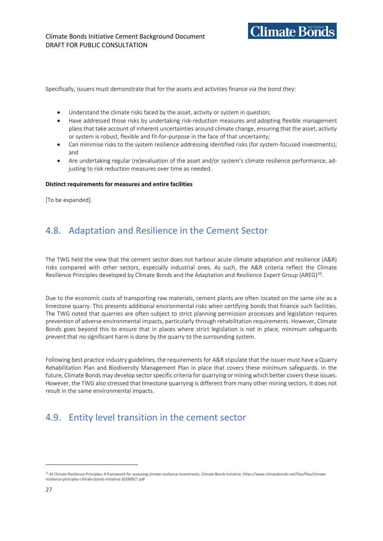

Specifically, issuers must demonstrate that for the assets and activities finance via the bond they:

- Understand the climate risks faced by the asset, activity or system in question;
- Have addressed those risks by undertaking risk-reduction measures and adopting flexible management plans that take account of inherent uncertainties around climate change, ensuring that the asset, activity or system is robust, flexible and fit-for-purpose in the face of that uncertainty;
- Can minimise risks to the system resilience addressing identified risks (for system-focused investments); and
- Are undertaking regular (re)evaluation of the asset and/or system's climate resilience performance, adjusting to risk reduction measures over time as needed.

#### **Distinct requirements for measures and entire facilities**

[To be expanded].

### <span id="page-28-0"></span>4.8. Adaptation and Resilience in the Cement Sector

The TWG held the view that the cement sector does not harbour acute climate adaptation and resilience (A&R) risks compared with other sectors, especially industrial ones. As such, the A&R criteria reflect the Climate Resilience Principles developed by Climate Bonds and the Adaptation and Resilience Expert Group (AREG)<sup>43</sup>.

Due to the economic costs of transporting raw materials, cement plants are often located on the same site as a limestone quarry. This presents additional environmental risks when certifying bonds that finance such facilities. The TWG noted that quarries are often subject to strict planning permission processes and legislation requires prevention of adverse environmental impacts, particularly through rehabilitation requirements. However, Climate Bonds goes beyond this to ensure that in places where strict legislation is not in place, minimum safeguards prevent that no significant harm is done by the quarry to the surrounding system.

Following best practice industry guidelines, the requirements for A&R stipulate that the issuer must have a Quarry Rehabilitation Plan and Biodiversity Management Plan in place that covers these minimum safeguards. In the future, Climate Bonds may develop sector specific criteria for quarrying or mining which better covers these issues. However, the TWG also stressed that limestone quarrying is different from many other mining sectors. It does not result in the same environmental impacts.

### <span id="page-28-1"></span>4.9. Entity level transition in the cement sector

<sup>&</sup>lt;sup>43</sup> 43 Climate Resilience Principles: A framework for assessing climate resilience investments. Climate Bonds Initiative. https://www.climatebonds.net/files/files/climateresilience-principles-climate-bonds-initiative-20190917.pdf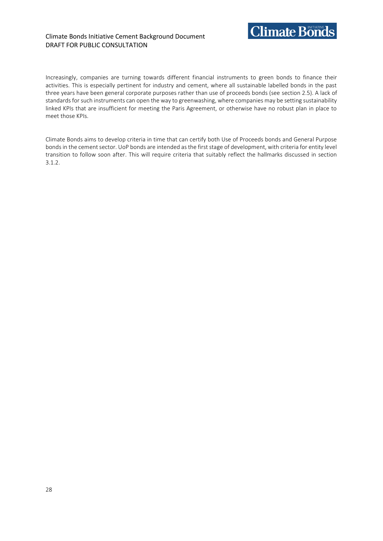#### Climate Bonds Initiative Cement Background Document DRAFT FOR PUBLIC CONSULTATION



Increasingly, companies are turning towards different financial instruments to green bonds to finance their activities. This is especially pertinent for industry and cement, where all sustainable labelled bonds in the past three years have been general corporate purposes rather than use of proceeds bonds (see section 2.5). A lack of standards for such instruments can open the way to greenwashing, where companies may be setting sustainability linked KPIs that are insufficient for meeting the Paris Agreement, or otherwise have no robust plan in place to meet those KPIs.

Climate Bonds aims to develop criteria in time that can certify both Use of Proceeds bonds and General Purpose bonds in the cement sector. UoP bonds are intended as the first stage of development, with criteria for entity level transition to follow soon after. This will require criteria that suitably reflect the hallmarks discussed in section 3.1.2.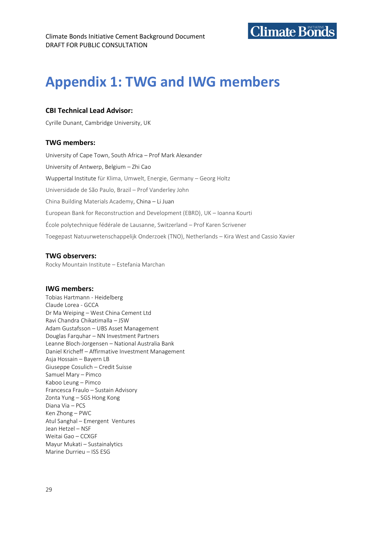

# <span id="page-30-0"></span>**Appendix 1: TWG and IWG members**

#### **CBI Technical Lead Advisor:**

Cyrille Dunant, Cambridge University, UK

#### **TWG members:**

University of Cape Town, South Africa – Prof Mark Alexander University of Antwerp, Belgium – Zhi Cao Wuppertal Institute für Klima, Umwelt, Energie, Germany – Georg Holtz Universidade de São Paulo, Brazil – Prof Vanderley John China Building Materials Academy, China – Li Juan European Bank for Reconstruction and Development (EBRD), UK – Ioanna Kourti École polytechnique fédérale de Lausanne, Switzerland – Prof Karen Scrivener Toegepast Natuurwetenschappelijk Onderzoek (TNO), Netherlands – Kira West and Cassio Xavier

#### **TWG observers:**

Rocky Mountain Institute – Estefania Marchan

#### **IWG members:**

Tobias Hartmann - Heidelberg Claude Lorea - GCCA Dr Ma Weiping – West China Cement Ltd Ravi Chandra Chikatimalla – JSW Adam Gustafsson – UBS Asset Management Douglas Farquhar – NN Investment Partners Leanne Bloch-Jorgensen – National Australia Bank Daniel Kricheff – Affirmative Investment Management Asja Hossain – Bayern LB Giuseppe Cosulich – Credit Suisse Samuel Mary – Pimco Kaboo Leung – Pimco Francesca Fraulo – Sustain Advisory Zonta Yung – SGS Hong Kong Diana Via – PCS Ken Zhong – PWC Atul Sanghal – Emergent Ventures Jean Hetzel – NSF Weitai Gao – CCXGF Mayur Mukati – Sustainalytics Marine Durrieu – ISS ESG